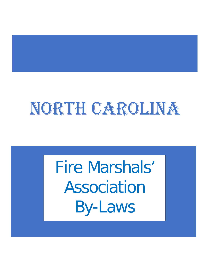# NORTH CAROLINA

Fire Marshals' Association By-Laws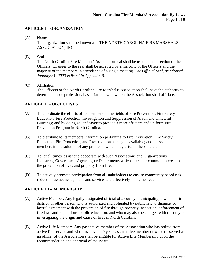# **ARTICLE I – ORGANIZATION**

(A) Name

The organization shall be known as: "THE NORTH CAROLINA FIRE MARSHALS' ASSOCIATION, INC."

(B) Seal

The North Carolina Fire Marshals' Association seal shall be used at the direction of the Officers. Changes to the seal shall be accepted by a majority of the Officers and the majority of the members in attendance of a single meeting. *The Official Seal, as adopted January 31, 2020 is listed in Appendix B.*

(C) Affiliation The Officers of the North Carolina Fire Marshals' Association shall have the authority to determine those professional associations with which the Association shall affiliate.

# **ARTICLE II – OBJECTIVES**

- (A) To coordinate the efforts of its members in the fields of Fire Prevention, Fire Safety Education, Fire Protection, Investigation and Suppression of Arson and Unlawful Burnings; and by doing so, endeavor to provide a more efficient and uniform Fire Prevention Program in North Carolina.
- (B) To distribute to its members information pertaining to Fire Prevention, Fire Safety Education, Fire Protection, and Investigation as may be available; and to assist its members in the solution of any problems which may arise in these fields.
- (C) To, at all times, assist and cooperate with such Associations and Organizations, Industries, Government Agencies, or Departments which share our common interest in the protection of lives and property from fire.
- (D) To actively promote participation from all stakeholders to ensure community based risk reduction assessments, plans and services are effectively implemented.

# **ARTICLE III – MEMBERSHIP**

- (A) Active Member: Any legally designated official of a county, municipality, township, fire district, or other person who is authorized and obligated by public law, ordinance, or lawful agreement with the prevention of fire through property inspection, enforcement of fire laws and regulations, public education, and who may also be charged with the duty of investigating the origin and cause of fires in North Carolina.
- (B) Active Life Member: Any past active member of the Association who has retired from active fire service and who has served 20 years as an active member or who has served as an officer of the Association shall be eligible for Active Life Membership upon the recommendation and approval of the Board.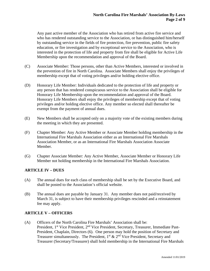Any past active member of the Association who has retired from active fire service and who has rendered outstanding service to the Association, or has distinguished him/herself by outstanding service in the fields of fire protection, fire prevention, public fire safety education, or fire investigation and by exceptional service to the Association, who is interested in the protection of life and property from fire shall be eligible for Active Life Membership upon the recommendation and approval of the Board.

- (C) Associate Member: Those persons, other than Active Members, interested or involved in the prevention of fire in North Carolina. Associate Members shall enjoy the privileges of membership except that of voting privileges and/or holding elective office.
- (D) Honorary Life Member: Individuals dedicated to the protection of life and property or any person that has rendered conspicuous service to the Association shall be eligible for Honorary Life Membership upon the recommendation and approval of the Board. Honorary Life Members shall enjoy the privileges of membership except that of voting privileges and/or holding elective office. Any member so elected shall thereafter be exempt from the payment of annual dues.
- (E) New Members shall be accepted only on a majority vote of the existing members during the meeting in which they are presented.
- (F) Chapter Member: Any Active Member or Associate Member holding membership in the International Fire Marshals Association either as an International Fire Marshals Association Member, or as an International Fire Marshals Association Associate Member.
- (G) Chapter Associate Member: Any Active Member, Associate Member or Honorary Life Member not holding membership in the International Fire Marshals Association.

# **ARTICLE IV – DUES**

- (A) The annual dues for each class of membership shall be set by the Executive Board, and shall be posted to the Association's official website.
- (B) The annual dues are payable by January 31. Any member dues not paid/received by March 31, is subject to have their membership privileges rescinded and a reinstatement fee may apply.

# **ARTICLE V – OFFICERS**

(A) Officers of the North Carolina Fire Marshals' Association shall be: President, 1<sup>st</sup> Vice President, 2<sup>nd</sup> Vice President, Secretary, Treasurer, Immediate Past-President, Chaplain, Directors (6). One person may hold the position of Secretary and Treasurer simultaneously. The President,  $1<sup>st</sup> \& 2<sup>nd</sup>$  Vice President, Secretary and Treasurer (Secretary/Treasurer) shall hold membership in the International Fire Marshals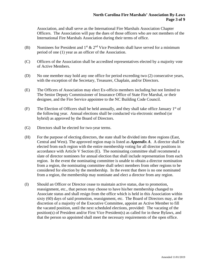#### **North Carolina Fire Marshals' Association By-Laws Page 3 of 9**

Association, and shall serve as the International Fire Marshals Association Chapter Officers. The Association will pay the dues of those officers who are not members of the International Fire Marshals Association during their terms of office.

- (B) Nominees for President and 1<sup>st</sup>  $\&$  2<sup>nd</sup> Vice Presidents shall have served for a minimum period of one (1) year as an officer of the Association.
- (C) Officers of the Association shall be accredited representatives elected by a majority vote of Active Members.
- (D) No one member may hold any one office for period exceeding two (2) consecutive years, with the exception of the Secretary, Treasurer, Chaplain, and/or Directors.
- (E) The Officers of Association may elect Ex-officio members including but not limited to The Senior Deputy Commissioner of Insurance Office of State Fire Marshal, or their designee, and the Fire Service appointee to the NC Building Code Council.
- (F) The Election of Officers shall be held annually, and they shall take office January  $1<sup>st</sup>$  of the following year. Annual elections shall be conducted via electronic method (or hybrid) as approved by the Board of Directors.
- (G) Directors shall be elected for two-year terms.
- (H) For the purpose of electing directors, the state shall be divided into three regions (East, Central and West). The approved region map is listed as *Appendix A*. A director shall be elected from each region with the entire membership voting for all director positions in accordance with Article V Section (E). The nominating committee shall recommend a slate of director nominees for annual election that shall include representation from each region. In the event the nominating committee is unable to obtain a director nomination from a region, the nominating committee shall select members from other regions to be considered for election by the membership. In the event that there is no one nominated from a region, the membership may nominate and elect a director from any region.
- (I) Should an Officer or Director cease to maintain active status, due to promotion, reassignment, etc., that person may choose to have his/her membership changed to Associate status and shall resign from the office which is held in this Association within sixty (60) days of said promotion, reassignment, etc. The Board of Directors may, at the discretion of a majority of the Executive Committee, appoint an Active Member to fill the vacated position, until the next scheduled elections, provided: The vacating of the position(s) of President and/or First Vice President(s) as called for in these Bylaws, and that the person so appointed shall meet the necessary requirements of the open office.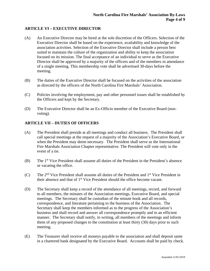# **ARTICLE VI – EXECUTIVE DIRECTOR**

- (A) An Executive Director may be hired at the sole discretion of the Officers. Selection of the Executive Director shall be based on the experience, availability and knowledge of the association activities. Selection of the Executive Director shall include a person best suited to maintain the culture of the organization and ability to keep the association focused on its mission. The final acceptance of an individual to serve as the Executive Director shall be approved by a majority of the officers and of the members in attendance of a single meeting. This membership vote shall be advertised 30-days before the meeting.
- (B) The duties of the Executive Director shall be focused on the activities of the association as directed by the officers of the North Carolina Fire Marshals' Association.
- (C) Policies involving the employment, pay and other personnel issues shall be established by the Officers and kept by the Secretary.
- (D) The Executive Director shall be an Ex-Officio member of the Executive Board (nonvoting).

#### **ARTICLE VII – DUTIES OF OFFICERS**

- (A) The President shall preside at all meetings and conduct all business. The President shall call special meetings at the request of a majority of the Association's Executive Board, or when the President may deem necessary. The President shall serve as the International Fire Marshals Association Chapter representative. The President will vote only in the event of a tie.
- (B) The 1<sup>st</sup> Vice President shall assume all duties of the President in the President's absence or vacating the office.
- (C) The  $2<sup>nd</sup>$  Vice President shall assume all duties of the President and  $1<sup>st</sup>$  Vice President in their absence and that of 1<sup>st</sup> Vice President should the office become vacant.
- (D) The Secretary shall keep a record of the attendance of all meetings, record, and forward to all members, the minutes of the Association meetings, Executive Board, and special meetings. The Secretary shall be custodian of the minute book and all records, correspondence, and literature pertaining to the business of the Association. The Secretary shall keep the members informed as to the progress of the Association's business and shall record and answer all correspondence promptly and in an efficient manner. The Secretary shall notify, in writing, all members of the meetings and inform them of any proposed changes to the constitution at least thirty (30) days prior to such meeting.
- (E) The Treasurer shall receive all moneys payable to the association and shall deposit same in a chartered bank designated by the Executive Board. Accounts shall be paid by check.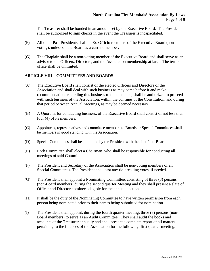The Treasurer shall be bonded in an amount set by the Executive Board. The President shall be authorized to sign checks in the event the Treasurer is incapacitated.

- (F) All other Past Presidents shall be Ex-Officio members of the Executive Board (nonvoting), unless on the Board as a current member.
- (G) The Chaplain shall be a non-voting member of the Executive Board and shall serve as an advisor to the Officers, Directors, and the Association membership at large. The term of office shall be unlimited.

#### **ARTICLE VIII – COMMITTEES AND BOARDS**

- (A) The Executive Board shall consist of the elected Officers and Directors of the Association and shall deal with such business as may come before it and make recommendations regarding this business to the members; shall be authorized to proceed with such business of the Association, within the confines of the Constitution, and during that period between Annual Meetings, as may be deemed necessary.
- (B) A Quorum, for conducting business, of the Executive Board shall consist of not less than four (4) of its members.
- (C) Appointees, representatives and committee members to Boards or Special Committees shall be members in good standing with the Association.
- (D) Special Committees shall be appointed by the President with the aid of the Board.
- (E) Each Committee shall elect a Chairman, who shall be responsible for conducting all meetings of said Committee.
- (F) The President and Secretary of the Association shall be non-voting members of all Special Committees. The President shall cast any tie-breaking votes, if needed.
- (G) The President shall appoint a Nominating Committee, consisting of three (3) persons (non-Board members) during the second quarter Meeting and they shall present a slate of Officer and Director nominees eligible for the annual election*.*
- (H) It shall be the duty of the Nominating Committee to have written permission from each person being nominated prior to their names being submitted for nomination.
- (I) The President shall appoint, during the fourth quarter meeting, three (3) persons (non-Board members) to serve as an Audit Committee. They shall audit the books and accounts of the Treasurer annually and shall present a complete report of all matters pertaining to the finances of the Association for the following, first quarter meeting.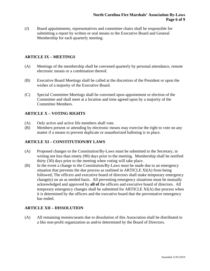(J) Board appointments, representatives and committee chairs shall be responsible for submitting a report by written or oral means to the Executive Board and General Membership for each quarterly meeting.

# **ARTICLE IX – MEETINGS**

- (A) Meetings of the membership shall be convened quarterly by personal attendance, remote electronic means or a combination thereof.
- (B) Executive Board Meetings shall be called at the discretion of the President or upon the wishes of a majority of the Executive Board.
- (C) Special Committee Meetings shall be convened upon appointment or election of the Committee and shall meet at a location and time agreed upon by a majority of the Committee Members.

# **ARTICLE X – VOTING RIGHTS**

- (A) Only active and active life members shall vote.
- (B) Members present or attending by electronic means may exercise the right to vote on any matter if a means to prevent duplicate or unauthorized balloting is in place.

# **ARTICLE XI – CONSTITUTION/BY LAWS**

- (A) Proposed changes to the Constitution/By-Laws must be submitted to the Secretary, in writing not less than ninety (90) days prior to the meeting. Membership shall be notified thirty (30) days prior to the meeting when voting will take place.
- (B) In the event a change to the Constitution/By-Laws must be made due to an emergency situation that prevents the due process as outlined in ARTICLE XI(A) from being followed; The officers and executive board of directors shall make temporary emergency change(s) on an as needed basis. All preventing emergency situations must be mutually acknowledged and approved by **all of** the officers and executive board of directors. All temporary emergency changes shall be submitted for ARTICLE XI(A) due process when it is determined by the officers and the executive board that the preventative emergency has ended.

# **ARTICLE XII – DISSOLUTION**

(A) All remaining monies/assets due to dissolution of this Association shall be distributed to a like non-profit organization as and/or determined by the Board of Directors.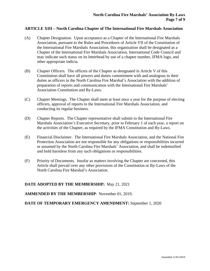#### **ARTICLE XIII – North Carolina Chapter of The International Fire Marshals Association**

- (A) Chapter Designation. Upon acceptance as a Chapter of the International Fire Marshals Association, pursuant to the Rules and Procedures of Article VII of the Constitution of the International Fire Marshals Association, this organization shall be designated as a Chapter of the International Fire Marshals Association, International Code Council and may indicate such status on its letterhead by use of a chapter number, IFMA logo, and other appropriate indicia.
- (B) Chapter Officers. The officers of the Chapter as designated in Article V of this Constitution shall have all powers and duties commitment with and analogous to their duties as officers in the North Carolina Fire Marshal's Association with the addition of preparation of reports and communication with the International Fire Marshals' Association Constitution and By-Laws.
- (C) Chapter Meetings. The Chapter shall meet at least once a year for the purpose of electing officers, approval of reports to the International Fire Marshals Association, and conducting its regular business.
- (D) Chapter Reports. The Chapter representative shall submit to the International Fire Marshals Association's Executive Secretary, prior to February 1 of each year, a report on the activities of the Chapter, as required by the IFMA Constitution and By-Laws.
- (E) Financial Disclaimer. The International Fire Marshals Association, and the National Fire Protection Association are not responsible for any obligations or responsibilities incurred or assumed by the North Carolina Fire Marshals' Association, and shall be indemnified and hold harmless from any such obligations or responsibilities.
- (F) Priority of Documents. Insofar as matters involving the Chapter are concerned, this Article shall prevail over any other provisions of the Constitution or By-Laws of the North Carolina Fire Marshal's Association.

#### **DATE ADOPTED BY THE MEMBERSHIP:** May 21, 2021

#### **AMMENDED BY THE MEMBERSHIP**: November 01, 2019.

#### **DATE OF TEMPORARY EMERGENCY AMENDMENT:** September 1, 2020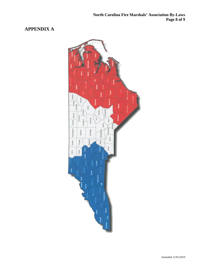# **APPENDIX A**